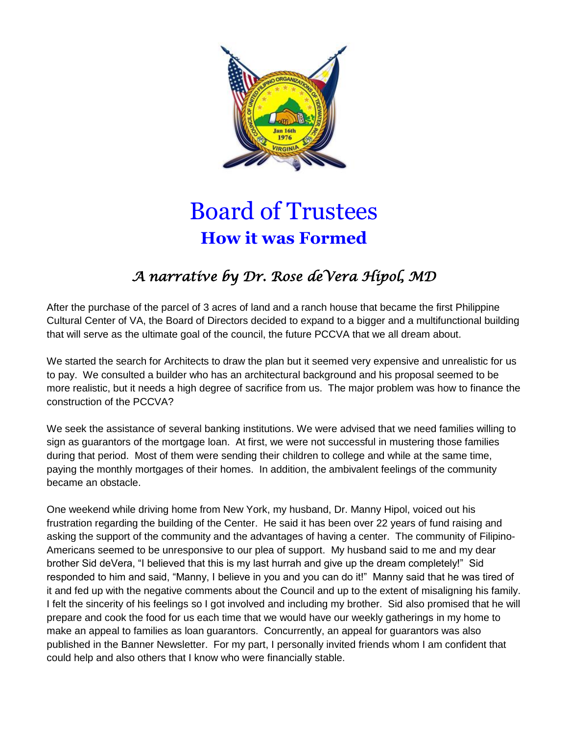

## Board of Trustees **How it was Formed**

## *A narrative by Dr. Rose deVera Hipol, MD*

After the purchase of the parcel of 3 acres of land and a ranch house that became the first Philippine Cultural Center of VA, the Board of Directors decided to expand to a bigger and a multifunctional building that will serve as the ultimate goal of the council, the future PCCVA that we all dream about.

We started the search for Architects to draw the plan but it seemed very expensive and unrealistic for us to pay. We consulted a builder who has an architectural background and his proposal seemed to be more realistic, but it needs a high degree of sacrifice from us. The major problem was how to finance the construction of the PCCVA?

We seek the assistance of several banking institutions. We were advised that we need families willing to sign as guarantors of the mortgage loan. At first, we were not successful in mustering those families during that period. Most of them were sending their children to college and while at the same time, paying the monthly mortgages of their homes. In addition, the ambivalent feelings of the community became an obstacle.

One weekend while driving home from New York, my husband, Dr. Manny Hipol, voiced out his frustration regarding the building of the Center. He said it has been over 22 years of fund raising and asking the support of the community and the advantages of having a center. The community of Filipino-Americans seemed to be unresponsive to our plea of support. My husband said to me and my dear brother Sid deVera, "I believed that this is my last hurrah and give up the dream completely!" Sid responded to him and said, "Manny, I believe in you and you can do it!" Manny said that he was tired of it and fed up with the negative comments about the Council and up to the extent of misaligning his family. I felt the sincerity of his feelings so I got involved and including my brother. Sid also promised that he will prepare and cook the food for us each time that we would have our weekly gatherings in my home to make an appeal to families as loan guarantors. Concurrently, an appeal for guarantors was also published in the Banner Newsletter. For my part, I personally invited friends whom I am confident that could help and also others that I know who were financially stable.